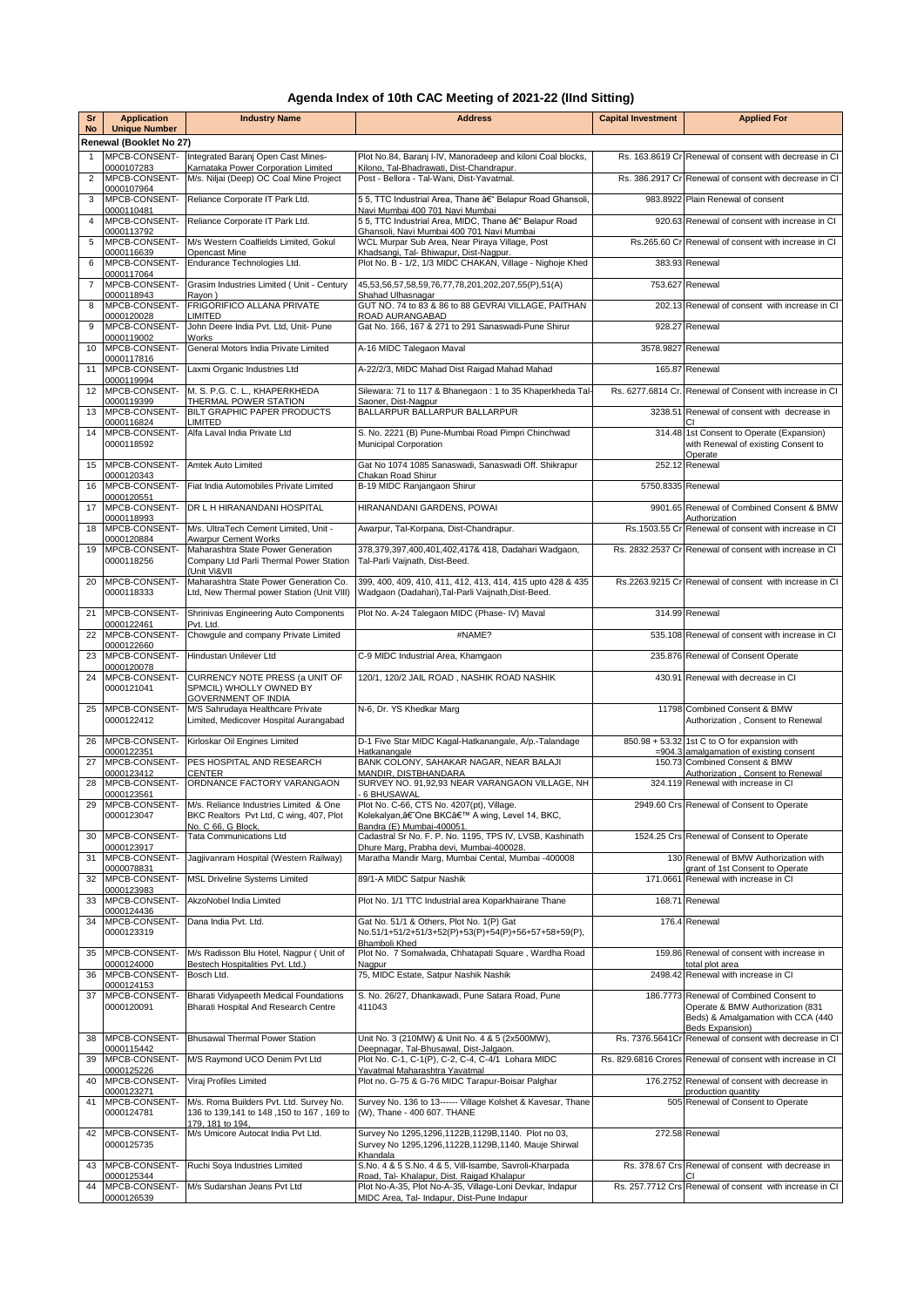## **Agenda Index of 10th CAC Meeting of 2021-22 (IInd Sitting)**

| Sr<br><b>No</b>                                 | <b>Application</b>                        | <b>Industry Name</b>                                                                                    | <b>Address</b>                                                                                                           | <b>Capital Investment</b> | <b>Applied For</b>                                                                                                |  |  |  |  |
|-------------------------------------------------|-------------------------------------------|---------------------------------------------------------------------------------------------------------|--------------------------------------------------------------------------------------------------------------------------|---------------------------|-------------------------------------------------------------------------------------------------------------------|--|--|--|--|
| <b>Unique Number</b><br>Renewal (Booklet No 27) |                                           |                                                                                                         |                                                                                                                          |                           |                                                                                                                   |  |  |  |  |
| $\mathbf{1}$                                    | MPCB-CONSENT-                             | Integrated Baranj Open Cast Mines-                                                                      | Plot No.84, Baranj I-IV, Manoradeep and kiloni Coal blocks,                                                              |                           | Rs. 163.8619 Cr Renewal of consent with decrease in CI                                                            |  |  |  |  |
| $\overline{2}$                                  | 0000107283<br>MPCB-CONSENT-               | Karnataka Power Corporation Limited<br>M/s. Niljai (Deep) OC Coal Mine Project                          | Kilono, Tal-Bhadrawati, Dist-Chandrapur.<br>Post - Bellora - Tal-Wani, Dist-Yavatmal.                                    |                           | Rs. 386.2917 Cr Renewal of consent with decrease in CI                                                            |  |  |  |  |
| 3                                               | 0000107964<br>MPCB-CONSENT-<br>0000110481 | Reliance Corporate IT Park Ltd.                                                                         | 55, TTC Industrial Area, Thane â€" Belapur Road Ghansoli,<br>Navi Mumbai 400 701 Navi Mumbai                             |                           | 983.8922 Plain Renewal of consent                                                                                 |  |  |  |  |
| 4                                               | MPCB-CONSENT-                             | Reliance Corporate IT Park Ltd.                                                                         | 55, TTC Industrial Area, MIDC, Thane â€" Belapur Road                                                                    |                           | 920.63 Renewal of consent with increase in CI                                                                     |  |  |  |  |
| 5                                               | 0000113792<br>MPCB-CONSENT-               | M/s Western Coalfields Limited, Gokul                                                                   | Ghansoli, Navi Mumbai 400 701 Navi Mumbai<br>WCL Murpar Sub Area, Near Piraya Village, Post                              |                           | Rs.265.60 Cr Renewal of consent with increase in Cl                                                               |  |  |  |  |
| 6                                               | 0000116639<br>MPCB-CONSENT-               | Opencast Mine<br>Endurance Technologies Ltd.                                                            | Khadsangi, Tal- Bhiwapur, Dist-Nagpur.<br>Plot No. B - 1/2, 1/3 MIDC CHAKAN, Village - Nighoje Khed                      |                           | 383.93 Renewal                                                                                                    |  |  |  |  |
| $\overline{7}$                                  | 0000117064<br>MPCB-CONSENT-               | Grasim Industries Limited ( Unit - Century                                                              | 45,53,56,57,58,59,76,77,78,201,202,207,55(P),51(A)                                                                       |                           | 753.627 Renewal                                                                                                   |  |  |  |  |
| 8                                               | 0000118943<br>MPCB-CONSENT-               | Rayon)<br>FRIGORIFICO ALLANA PRIVATE                                                                    | Shahad Ulhasnagar<br>GUT NO. 74 to 83 & 86 to 88 GEVRAI VILLAGE, PAITHAN                                                 |                           | 202.13 Renewal of consent with increase in CI                                                                     |  |  |  |  |
| 9                                               | 0000120028<br>MPCB-CONSENT-               | <b>LIMITED</b><br>John Deere India Pvt. Ltd, Unit- Pune                                                 | ROAD AURANGABAD<br>Gat No. 166, 167 & 271 to 291 Sanaswadi-Pune Shirur                                                   |                           | 928.27 Renewal                                                                                                    |  |  |  |  |
| 10                                              | 0000119002<br>MPCB-CONSENT-               | Works<br>General Motors India Private Limited                                                           | A-16 MIDC Talegaon Maval                                                                                                 | 3578.9827 Renewal         |                                                                                                                   |  |  |  |  |
| 11                                              | 0000117816<br>MPCB-CONSENT-               | Laxmi Organic Industries Ltd                                                                            | A-22/2/3, MIDC Mahad Dist Raigad Mahad Mahad                                                                             |                           | 165.87 Renewal                                                                                                    |  |  |  |  |
| 12                                              | 0000119994<br>MPCB-CONSENT-               | M. S. P.G. C. L., KHAPERKHEDA                                                                           | Silewara: 71 to 117 & Bhanegaon : 1 to 35 Khaperkheda Tal-                                                               |                           | Rs. 6277.6814 Cr. Renewal of Consent with increase in CI                                                          |  |  |  |  |
| 13                                              | 0000119399<br>MPCB-CONSENT-               | THERMAL POWER STATION<br>BILT GRAPHIC PAPER PRODUCTS                                                    | Saoner, Dist-Nagpur<br>BALLARPUR BALLARPUR BALLARPUR                                                                     |                           | 3238.51 Renewal of consent with decrease in                                                                       |  |  |  |  |
| 14                                              | 0000116824<br>MPCB-CONSENT-               | LIMITED<br>Alfa Laval India Private Ltd                                                                 | S. No. 2221 (B) Pune-Mumbai Road Pimpri Chinchwad                                                                        |                           | 314.48 1st Consent to Operate (Expansion)                                                                         |  |  |  |  |
|                                                 | 0000118592                                |                                                                                                         | <b>Municipal Corporation</b>                                                                                             |                           | with Renewal of existing Consent to<br>Operate                                                                    |  |  |  |  |
| 15                                              | MPCB-CONSENT-<br>0000120343               | Amtek Auto Limited                                                                                      | Gat No 1074 1085 Sanaswadi, Sanaswadi Off. Shikrapur<br>Chakan Road Shirur                                               |                           | 252.12 Renewal                                                                                                    |  |  |  |  |
| 16                                              | MPCB-CONSENT-<br>0000120551               | Fiat India Automobiles Private Limited                                                                  | B-19 MIDC Ranjangaon Shirur                                                                                              | 5750.8335 Renewal         |                                                                                                                   |  |  |  |  |
| 17                                              | MPCB-CONSENT-<br>0000118993               | DR L H HIRANANDANI HOSPITAL                                                                             | HIRANANDANI GARDENS, POWAI                                                                                               |                           | 9901.65 Renewal of Combined Consent & BMW<br>Authorization                                                        |  |  |  |  |
| 18                                              | MPCB-CONSENT-<br>0000120884               | M/s. UltraTech Cement Limited, Unit -<br><b>Awarpur Cement Works</b>                                    | Awarpur, Tal-Korpana, Dist-Chandrapur.                                                                                   |                           | Rs.1503.55 Cr Renewal of consent with increase in CI                                                              |  |  |  |  |
| 19                                              | MPCB-CONSENT-<br>0000118256               | Maharashtra State Power Generation<br>Company Ltd Parli Thermal Power Station<br>(Unit Vi&VII           | 378,379,397,400,401,402,417& 418, Dadahari Wadgaon,<br>Tal-Parli Vaijnath, Dist-Beed.                                    |                           | Rs. 2832.2537 Cr Renewal of consent with increase in CI                                                           |  |  |  |  |
| 20                                              | MPCB-CONSENT-<br>0000118333               | Maharashtra State Power Generation Co.<br>Ltd, New Thermal power Station (Unit VIII)                    | 399, 400, 409, 410, 411, 412, 413, 414, 415 upto 428 & 435<br>Wadgaon (Dadahari), Tal-Parli Vaijnath, Dist-Beed.         |                           | Rs.2263.9215 Cr Renewal of consent with increase in CI                                                            |  |  |  |  |
| 21                                              | MPCB-CONSENT-<br>0000122461               | Shrinivas Engineering Auto Components<br>Pvt. Ltd.                                                      | Plot No. A-24 Talegaon MIDC (Phase- IV) Maval                                                                            |                           | 314.99 Renewal                                                                                                    |  |  |  |  |
| 22                                              | MPCB-CONSENT-<br>0000122660               | Chowgule and company Private Limited                                                                    | #NAME?                                                                                                                   |                           | 535.108 Renewal of consent with increase in CI                                                                    |  |  |  |  |
| 23                                              | MPCB-CONSENT-<br>0000120078               | Hindustan Unilever Ltd                                                                                  | C-9 MIDC Industrial Area, Khamgaon                                                                                       |                           | 235.876 Renewal of Consent Operate                                                                                |  |  |  |  |
| 24                                              | MPCB-CONSENT-<br>0000121041               | CURRENCY NOTE PRESS (a UNIT OF<br>SPMCIL) WHOLLY OWNED BY<br>GOVERNMENT OF INDIA                        | 120/1, 120/2 JAIL ROAD, NASHIK ROAD NASHIK                                                                               |                           | 430.91 Renewal with decrease in CI                                                                                |  |  |  |  |
| 25                                              | MPCB-CONSENT-<br>0000122412               | M/S Sahrudaya Healthcare Private<br>Limited, Medicover Hospital Aurangabad                              | N-6, Dr. YS Khedkar Marg                                                                                                 |                           | 11798 Combined Consent & BMW<br>Authorization, Consent to Renewal                                                 |  |  |  |  |
| 26                                              | MPCB-CONSENT-<br>0000122351               | Kirloskar Oil Engines Limited                                                                           | D-1 Five Star MIDC Kagal-Hatkanangale, A/p.-Talandage<br>Hatkanangale                                                    |                           | 850.98 + 53.32 1st C to O for expansion with<br>=904.3 amalgamation of existing consent                           |  |  |  |  |
| 27                                              | MPCB-CONSENT-<br>0000123412               | PES HOSPITAL AND RESEARCH<br>CENTER                                                                     | BANK COLONY, SAHAKAR NAGAR, NEAR BALAJI<br>MANDIR, DISTBHANDARA                                                          |                           | 150.73 Combined Consent & BMW<br>Authorization, Consent to Renewal                                                |  |  |  |  |
| 28                                              | MPCB-CONSENT-<br>0000123561               | ORDNANCE FACTORY VARANGAON                                                                              | SURVEY NO. 91,92,93 NEAR VARANGAON VILLAGE, NH<br>6 BHUSAWAL                                                             |                           | 324.119 Renewal with increase in CI                                                                               |  |  |  |  |
|                                                 | 0000123047                                | 29 MPCB-CONSENT- M/s. Reliance Industries Limited & One<br>BKC Realtors Pvt Ltd, C wing, 407, Plot      | Plot No. C-66, CTS No. 4207(pt), Village.<br>Kolekalyan, †One BKC' A wing, Level 14, BKC,                                |                           | 2949.60 Crs Renewal of Consent to Operate                                                                         |  |  |  |  |
| 30                                              | MPCB-CONSENT-                             | No. C 66. G Block.<br><b>Tata Communications Ltd</b>                                                    | Bandra (E) Mumbai-400051.<br>Cadastral Sr No. F. P. No. 1195, TPS IV, LVSB, Kashinath                                    |                           | 1524.25 Crs Renewal of Consent to Operate                                                                         |  |  |  |  |
| 31                                              | 0000123917<br>MPCB-CONSENT-               | Jagjivanram Hospital (Western Railway)                                                                  | Dhure Marg, Prabha devi, Mumbai-400028.<br>Maratha Mandir Marg, Mumbai Cental, Mumbai -400008                            |                           | 130 Renewal of BMW Authorization with                                                                             |  |  |  |  |
|                                                 | 0000078831                                |                                                                                                         |                                                                                                                          |                           | grant of 1st Consent to Operate<br>171.0661 Renewal with increase in CI                                           |  |  |  |  |
| 32                                              | MPCB-CONSENT-<br>0000123983               | <b>MSL Driveline Systems Limited</b>                                                                    | 89/1-A MIDC Satpur Nashik                                                                                                |                           |                                                                                                                   |  |  |  |  |
| 33                                              | MPCB-CONSENT-<br>0000124436               | AkzoNobel India Limited                                                                                 | Plot No. 1/1 TTC Industrial area Koparkhairane Thane                                                                     |                           | 168.71 Renewal                                                                                                    |  |  |  |  |
| 34                                              | MPCB-CONSENT-<br>0000123319               | Dana India Pvt. Ltd.                                                                                    | Gat No. 51/1 & Others, Plot No. 1(P) Gat<br>No.51/1+51/2+51/3+52(P)+53(P)+54(P)+56+57+58+59(P),<br>Bhamboli Khed         |                           | 176.4 Renewal                                                                                                     |  |  |  |  |
| 35                                              | MPCB-CONSENT-<br>0000124000               | M/s Radisson Blu Hotel, Nagpur ( Unit of<br>Bestech Hospitalities Pvt. Ltd.)                            | Plot No. 7 Somalwada, Chhatapati Square, Wardha Road<br>Nagpur                                                           |                           | 159.86 Renewal of consent with increase in<br>total plot area                                                     |  |  |  |  |
| 36                                              | MPCB-CONSENT-<br>0000124153               | Bosch Ltd.                                                                                              | 75, MIDC Estate, Satpur Nashik Nashik                                                                                    |                           | 2498.42 Renewal with increase in CI                                                                               |  |  |  |  |
| 37                                              | MPCB-CONSENT-<br>0000120091               | Bharati Vidyapeeth Medical Foundations<br>Bharati Hospital And Research Centre                          | S. No. 26/27, Dhankawadi, Pune Satara Road, Pune<br>411043                                                               |                           | 186.7773 Renewal of Combined Consent to<br>Operate & BMW Authorization (831<br>Beds) & Amalgamation with CCA (440 |  |  |  |  |
| 38                                              | MPCB-CONSENT-<br>0000115442               | Bhusawal Thermal Power Station                                                                          | Unit No. 3 (210MW) & Unit No. 4 & 5 (2x500MW),<br>Deepnagar, Tal-Bhusawal, Dist-Jalgaon.                                 |                           | <b>Beds Expansion)</b><br>Rs. 7376.5641Cr Renewal of consent with decrease in CI                                  |  |  |  |  |
| 39                                              | MPCB-CONSENT-<br>0000125226               | M/S Raymond UCO Denim Pvt Ltd                                                                           | Plot No. C-1, C-1(P), C-2, C-4, C-4/1 Lohara MIDC                                                                        |                           | Rs. 829.6816 Crores Renewal of consent with increase in CI                                                        |  |  |  |  |
| 40                                              | MPCB-CONSENT-                             | Viraj Profiles Limited                                                                                  | Yavatmal Maharashtra Yavatmal<br>Plot no. G-75 & G-76 MIDC Tarapur-Boisar Palghar                                        |                           | 176.2752 Renewal of consent with decrease in                                                                      |  |  |  |  |
| 41                                              | 0000123271<br>MPCB-CONSENT-<br>0000124781 | M/s. Roma Builders Pvt. Ltd. Survey No.<br>136 to 139,141 to 148,150 to 167, 169 to<br>179, 181 to 194, | Survey No. 136 to 13------ Village Kolshet & Kavesar, Thane<br>(W), Thane - 400 607. THANE                               |                           | production quantity<br>505 Renewal of Consent to Operate                                                          |  |  |  |  |
| 42                                              | MPCB-CONSENT-<br>0000125735               | M/s Umicore Autocat India Pvt Ltd.                                                                      | Survey No 1295, 1296, 1122B, 1129B, 1140. Plot no 03,<br>Survey No 1295,1296,1122B,1129B,1140. Mauje Shirwal<br>Khandala |                           | 272.58 Renewal                                                                                                    |  |  |  |  |
| 43                                              | MPCB-CONSENT-<br>0000125344               | Ruchi Soya Industries Limited                                                                           | S.No. 4 & 5 S.No. 4 & 5, Vill-Isambe, Savroli-Kharpada<br>Road, Tal- Khalapur, Dist. Raigad Khalapur                     |                           | Rs. 378.67 Crs Renewal of consent with decrease in                                                                |  |  |  |  |
| 44                                              | MPCB-CONSENT-<br>0000126539               | M/s Sudarshan Jeans Pvt Ltd                                                                             | Plot No-A-35, Plot No-A-35, Village-Loni Devkar, Indapur<br>MIDC Area, Tal- Indapur, Dist-Pune Indapur                   | Rs. 257.7712 Crs          | Renewal of consent with increase in CI                                                                            |  |  |  |  |